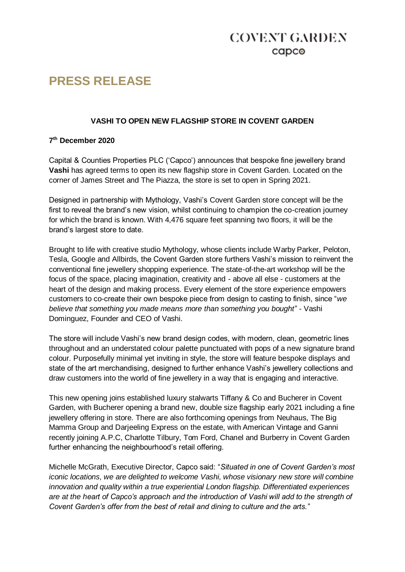## **COVENT GARDEN**  $c$ apc $\odot$

# **PRESS RELEASE**

### **VASHI TO OPEN NEW FLAGSHIP STORE IN COVENT GARDEN**

### **7 th December 2020**

Capital & Counties Properties PLC ('Capco') announces that bespoke fine jewellery brand **Vashi** has agreed terms to open its new flagship store in Covent Garden. Located on the corner of James Street and The Piazza, the store is set to open in Spring 2021.

Designed in partnership with Mythology, Vashi's Covent Garden store concept will be the first to reveal the brand's new vision, whilst continuing to champion the co-creation journey for which the brand is known. With 4,476 square feet spanning two floors, it will be the brand's largest store to date.

Brought to life with creative studio Mythology, whose clients include Warby Parker, Peloton, Tesla, Google and Allbirds, the Covent Garden store furthers Vashi's mission to reinvent the conventional fine jewellery shopping experience. The state-of-the-art workshop will be the focus of the space, placing imagination, creativity and - above all else - customers at the heart of the design and making process. Every element of the store experience empowers customers to co-create their own bespoke piece from design to casting to finish, since "*we believe that something you made means more than something you bought*" - Vashi Dominguez, Founder and CEO of Vashi.

The store will include Vashi's new brand design codes, with modern, clean, geometric lines throughout and an understated colour palette punctuated with pops of a new signature brand colour. Purposefully minimal yet inviting in style, the store will feature bespoke displays and state of the art merchandising, designed to further enhance Vashi's jewellery collections and draw customers into the world of fine jewellery in a way that is engaging and interactive.

This new opening joins established luxury stalwarts Tiffany & Co and Bucherer in Covent Garden, with Bucherer opening a brand new, double size flagship early 2021 including a fine jewellery offering in store. There are also forthcoming openings from Neuhaus, The Big Mamma Group and Darjeeling Express on the estate, with American Vintage and Ganni recently joining A.P.C, Charlotte Tilbury, Tom Ford, Chanel and Burberry in Covent Garden further enhancing the neighbourhood's retail offering.

Michelle McGrath, Executive Director, Capco said: "*Situated in one of Covent Garden's most iconic locations, we are delighted to welcome Vashi, whose visionary new store will combine innovation and quality within a true experiential London flagship. Differentiated experiences are at the heart of Capco's approach and the introduction of Vashi will add to the strength of Covent Garden's offer from the best of retail and dining to culture and the arts.*"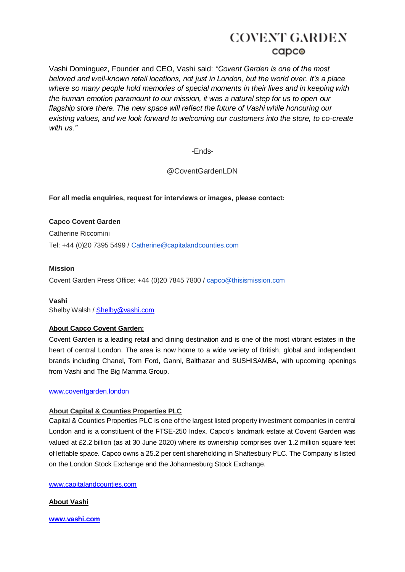Vashi Dominguez, Founder and CEO, Vashi said: *"Covent Garden is one of the most beloved and well-known retail locations, not just in London, but the world over. It's a place where so many people hold memories of special moments in their lives and in keeping with the human emotion paramount to our mission, it was a natural step for us to open our flagship store there. The new space will reflect the future of Vashi while honouring our existing values, and we look forward to welcoming our customers into the store, to co-create with us."*

-Ends-

@CoventGardenLDN

### **For all media enquiries, request for interviews or images, please contact:**

**Capco Covent Garden** Catherine Riccomini Tel: +44 (0)20 7395 5499 / Catherine@capitalandcounties.com

### **Mission**

Covent Garden Press Office: +44 (0)20 7845 7800 / capco@thisismission.com

**Vashi** Shelby Walsh / [Shelby@vashi.com](mailto:Shelby@vashi.com)

### **About Capco Covent Garden:**

Covent Garden is a leading retail and dining destination and is one of the most vibrant estates in the heart of central London. The area is now home to a wide variety of British, global and independent brands including Chanel, Tom Ford, Ganni, Balthazar and SUSHISAMBA, with upcoming openings from Vashi and The Big Mamma Group.

### www.coventgarden.london

### **About Capital & Counties Properties PLC**

Capital & Counties Properties PLC is one of the largest listed property investment companies in central London and is a constituent of the FTSE-250 Index. Capco's landmark estate at Covent Garden was valued at £2.2 billion (as at 30 June 2020) where its ownership comprises over 1.2 million square feet of lettable space. Capco owns a 25.2 per cent shareholding in Shaftesbury PLC. The Company is listed on the London Stock Exchange and the Johannesburg Stock Exchange.

[www.capitalandcounties.com](http://www.capitalandcounties.com/) 

**About Vashi**

**[www.vashi.com](http://www.vashi.com/)**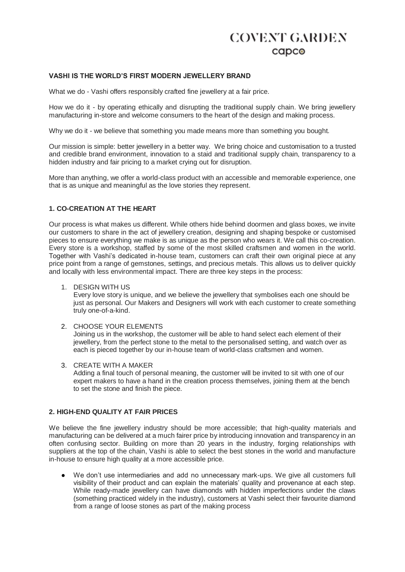### **VASHI IS THE WORLD'S FIRST MODERN JEWELLERY BRAND**

What we do - Vashi offers responsibly crafted fine jewellery at a fair price.

How we do it - by operating ethically and disrupting the traditional supply chain. We bring jewellery manufacturing in-store and welcome consumers to the heart of the design and making process.

Why we do it - we believe that something you made means more than something you bought.

Our mission is simple: better jewellery in a better way. We bring choice and customisation to a trusted and credible brand environment, innovation to a staid and traditional supply chain, transparency to a hidden industry and fair pricing to a market crying out for disruption.

More than anything, we offer a world-class product with an accessible and memorable experience, one that is as unique and meaningful as the love stories they represent.

### **1. CO-CREATION AT THE HEART**

Our process is what makes us different. While others hide behind doormen and glass boxes, we invite our customers to share in the act of jewellery creation, designing and shaping bespoke or customised pieces to ensure everything we make is as unique as the person who wears it. We call this co-creation. Every store is a workshop, staffed by some of the most skilled craftsmen and women in the world. Together with Vashi's dedicated in-house team, customers can craft their own original piece at any price point from a range of gemstones, settings, and precious metals. This allows us to deliver quickly and locally with less environmental impact. There are three key steps in the process:

1. DESIGN WITH US

Every love story is unique, and we believe the jewellery that symbolises each one should be just as personal. Our Makers and Designers will work with each customer to create something truly one-of-a-kind.

2. CHOOSE YOUR ELEMENTS

Joining us in the workshop, the customer will be able to hand select each element of their jewellery, from the perfect stone to the metal to the personalised setting, and watch over as each is pieced together by our in-house team of world-class craftsmen and women.

3. CREATE WITH A MAKER Adding a final touch of personal meaning, the customer will be invited to sit with one of our expert makers to have a hand in the creation process themselves, joining them at the bench to set the stone and finish the piece.

#### **2. HIGH-END QUALITY AT FAIR PRICES**

We believe the fine jewellery industry should be more accessible; that high-quality materials and manufacturing can be delivered at a much fairer price by introducing innovation and transparency in an often confusing sector. Building on more than 20 years in the industry, forging relationships with suppliers at the top of the chain, Vashi is able to select the best stones in the world and manufacture in-house to ensure high quality at a more accessible price.

We don't use intermediaries and add no unnecessary mark-ups. We give all customers full visibility of their product and can explain the materials' quality and provenance at each step. While ready-made jewellery can have diamonds with hidden imperfections under the claws (something practiced widely in the industry), customers at Vashi select their favourite diamond from a range of loose stones as part of the making process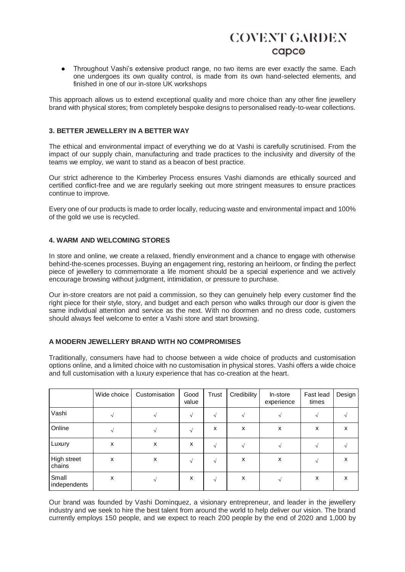● Throughout Vashi's extensive product range, no two items are ever exactly the same. Each one undergoes its own quality control, is made from its own hand-selected elements, and finished in one of our in-store UK workshops

This approach allows us to extend exceptional quality and more choice than any other fine jewellery brand with physical stores; from completely bespoke designs to personalised ready-to-wear collections.

### **3. BETTER JEWELLERY IN A BETTER WAY**

The ethical and environmental impact of everything we do at Vashi is carefully scrutinised. From the impact of our supply chain, manufacturing and trade practices to the inclusivity and diversity of the teams we employ, we want to stand as a beacon of best practice.

Our strict adherence to the Kimberley Process ensures Vashi diamonds are ethically sourced and certified conflict-free and we are regularly seeking out more stringent measures to ensure practices continue to improve.

Every one of our products is made to order locally, reducing waste and environmental impact and 100% of the gold we use is recycled.

### **4. WARM AND WELCOMING STORES**

In store and online, we create a relaxed, friendly environment and a chance to engage with otherwise behind-the-scenes processes. Buying an engagement ring, restoring an heirloom, or finding the perfect piece of jewellery to commemorate a life moment should be a special experience and we actively encourage browsing without judgment, intimidation, or pressure to purchase.

Our in-store creators are not paid a commission, so they can genuinely help every customer find the right piece for their style, story, and budget and each person who walks through our door is given the same individual attention and service as the next. With no doormen and no dress code, customers should always feel welcome to enter a Vashi store and start browsing.

#### **A MODERN JEWELLERY BRAND WITH NO COMPROMISES**

Traditionally, consumers have had to choose between a wide choice of products and customisation options online, and a limited choice with no customisation in physical stores. Vashi offers a wide choice and full customisation with a luxury experience that has co-creation at the heart.

|                       | Wide choice | Customisation | Good<br>value | Trust | <b>Credibility</b> | In-store<br>experience | Fast lead<br>times | Design |
|-----------------------|-------------|---------------|---------------|-------|--------------------|------------------------|--------------------|--------|
| Vashi                 |             |               |               |       |                    |                        |                    |        |
| Online                |             |               |               | x     | x                  | х                      | x                  | x      |
| Luxury                | x           | x             | x             |       |                    |                        |                    |        |
| High street<br>chains | x           | X             |               |       | x                  | х                      |                    | x      |
| Small<br>independents | X           |               | x             |       | X                  |                        | X                  | X      |

Our brand was founded by Vashi Dominquez, a visionary entrepreneur, and leader in the jewellery industry and we seek to hire the best talent from around the world to help deliver our vision. The brand currently employs 150 people, and we expect to reach 200 people by the end of 2020 and 1,000 by